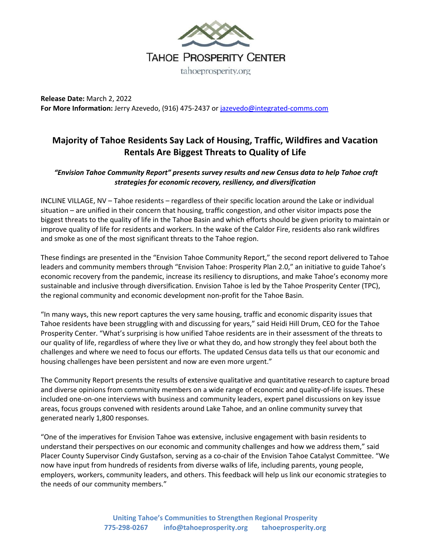

**Release Date:** March 2, 2022 **For More Information:** Jerry Azevedo, (916) 475-2437 or jazevedo@integrated-comms.com

## **Majority of Tahoe Residents Say Lack of Housing, Traffic, Wildfires and Vacation Rentals Are Biggest Threats to Quality of Life**

## *"Envision Tahoe Community Report" presents survey results and new Census data to help Tahoe craft strategies for economic recovery, resiliency, and diversification*

INCLINE VILLAGE, NV – Tahoe residents – regardless of their specific location around the Lake or individual situation – are unified in their concern that housing, traffic congestion, and other visitor impacts pose the biggest threats to the quality of life in the Tahoe Basin and which efforts should be given priority to maintain or improve quality of life for residents and workers. In the wake of the Caldor Fire, residents also rank wildfires and smoke as one of the most significant threats to the Tahoe region.

These findings are presented in the "Envision Tahoe Community Report," the second report delivered to Tahoe leaders and community members through "Envision Tahoe: Prosperity Plan 2.0," an initiative to guide Tahoe's economic recovery from the pandemic, increase its resiliency to disruptions, and make Tahoe's economy more sustainable and inclusive through diversification. Envision Tahoe is led by the Tahoe Prosperity Center (TPC), the regional community and economic development non-profit for the Tahoe Basin.

"In many ways, this new report captures the very same housing, traffic and economic disparity issues that Tahoe residents have been struggling with and discussing for years," said Heidi Hill Drum, CEO for the Tahoe Prosperity Center. "What's surprising is how unified Tahoe residents are in their assessment of the threats to our quality of life, regardless of where they live or what they do, and how strongly they feel about both the challenges and where we need to focus our efforts. The updated Census data tells us that our economic and housing challenges have been persistent and now are even more urgent."

The Community Report presents the results of extensive qualitative and quantitative research to capture broad and diverse opinions from community members on a wide range of economic and quality-of-life issues. These included one-on-one interviews with business and community leaders, expert panel discussions on key issue areas, focus groups convened with residents around Lake Tahoe, and an online community survey that generated nearly 1,800 responses.

"One of the imperatives for Envision Tahoe was extensive, inclusive engagement with basin residents to understand their perspectives on our economic and community challenges and how we address them," said Placer County Supervisor Cindy Gustafson, serving as a co-chair of the Envision Tahoe Catalyst Committee. "We now have input from hundreds of residents from diverse walks of life, including parents, young people, employers, workers, community leaders, and others. This feedback will help us link our economic strategies to the needs of our community members."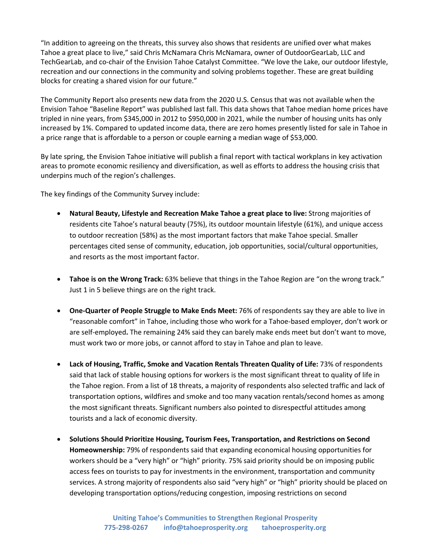"In addition to agreeing on the threats, this survey also shows that residents are unified over what makes Tahoe a great place to live," said Chris McNamara Chris McNamara, owner of OutdoorGearLab, LLC and TechGearLab, and co-chair of the Envision Tahoe Catalyst Committee. "We love the Lake, our outdoor lifestyle, recreation and our connections in the community and solving problems together. These are great building blocks for creating a shared vision for our future."

The Community Report also presents new data from the 2020 U.S. Census that was not available when the Envision Tahoe "Baseline Report" was published last fall. This data shows that Tahoe median home prices have tripled in nine years, from \$345,000 in 2012 to \$950,000 in 2021, while the number of housing units has only increased by 1%. Compared to updated income data, there are zero homes presently listed for sale in Tahoe in a price range that is affordable to a person or couple earning a median wage of \$53,000.

By late spring, the Envision Tahoe initiative will publish a final report with tactical workplans in key activation areas to promote economic resiliency and diversification, as well as efforts to address the housing crisis that underpins much of the region's challenges.

The key findings of the Community Survey include:

- **Natural Beauty, Lifestyle and Recreation Make Tahoe a great place to live:** Strong majorities of residents cite Tahoe's natural beauty (75%), its outdoor mountain lifestyle (61%), and unique access to outdoor recreation (58%) as the most important factors that make Tahoe special. Smaller percentages cited sense of community, education, job opportunities, social/cultural opportunities, and resorts as the most important factor.
- **Tahoe is on the Wrong Track:** 63% believe that things in the Tahoe Region are "on the wrong track." Just 1 in 5 believe things are on the right track.
- **One-Quarter of People Struggle to Make Ends Meet:** 76% of respondents say they are able to live in "reasonable comfort" in Tahoe, including those who work for a Tahoe-based employer, don't work or are self-employed**.** The remaining 24% said they can barely make ends meet but don't want to move, must work two or more jobs, or cannot afford to stay in Tahoe and plan to leave.
- **Lack of Housing, Traffic, Smoke and Vacation Rentals Threaten Quality of Life:** 73% of respondents said that lack of stable housing options for workers is the most significant threat to quality of life in the Tahoe region. From a list of 18 threats, a majority of respondents also selected traffic and lack of transportation options, wildfires and smoke and too many vacation rentals/second homes as among the most significant threats. Significant numbers also pointed to disrespectful attitudes among tourists and a lack of economic diversity.
- **Solutions Should Prioritize Housing, Tourism Fees, Transportation, and Restrictions on Second Homeownership:** 79% of respondents said that expanding economical housing opportunities for workers should be a "very high" or "high" priority. 75% said priority should be on imposing public access fees on tourists to pay for investments in the environment, transportation and community services. A strong majority of respondents also said "very high" or "high" priority should be placed on developing transportation options/reducing congestion, imposing restrictions on second